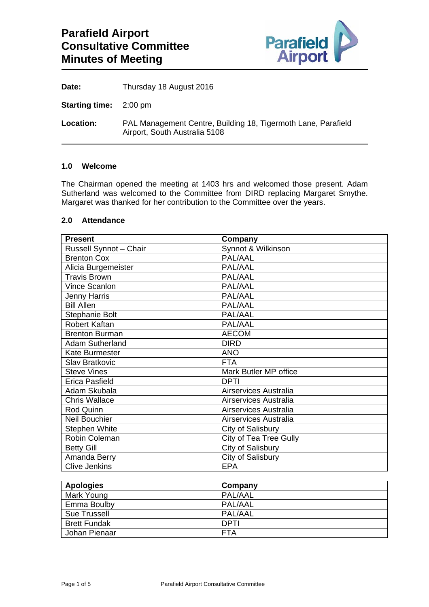

Date: Thursday 18 August 2016

**Starting time:** 2:00 pm

**Location:** PAL Management Centre, Building 18, Tigermoth Lane, Parafield Airport, South Australia 5108

#### **1.0 Welcome**

The Chairman opened the meeting at 1403 hrs and welcomed those present. Adam Sutherland was welcomed to the Committee from DIRD replacing Margaret Smythe. Margaret was thanked for her contribution to the Committee over the years.

#### **2.0 Attendance**

| <b>Present</b>                | Company                |
|-------------------------------|------------------------|
| <b>Russell Synnot - Chair</b> | Synnot & Wilkinson     |
| <b>Brenton Cox</b>            | PAL/AAL                |
| Alicia Burgemeister           | PAL/AAL                |
| <b>Travis Brown</b>           | PAL/AAL                |
| Vince Scanlon                 | PAL/AAL                |
| <b>Jenny Harris</b>           | PAL/AAL                |
| <b>Bill Allen</b>             | PAL/AAL                |
| Stephanie Bolt                | PAL/AAL                |
| <b>Robert Kaftan</b>          | PAL/AAL                |
| <b>Brenton Burman</b>         | <b>AECOM</b>           |
| <b>Adam Sutherland</b>        | <b>DIRD</b>            |
| <b>Kate Burmester</b>         | <b>ANO</b>             |
| <b>Slav Bratkovic</b>         | <b>FTA</b>             |
| <b>Steve Vines</b>            | Mark Butler MP office  |
| Erica Pasfield                | <b>DPTI</b>            |
| Adam Skubala                  | Airservices Australia  |
| <b>Chris Wallace</b>          | Airservices Australia  |
| Rod Quinn                     | Airservices Australia  |
| <b>Neil Bouchier</b>          | Airservices Australia  |
| <b>Stephen White</b>          | City of Salisbury      |
| Robin Coleman                 | City of Tea Tree Gully |
| <b>Betty Gill</b>             | City of Salisbury      |
| Amanda Berry                  | City of Salisbury      |
| <b>Clive Jenkins</b>          | <b>EPA</b>             |

| <b>Apologies</b>    | Company     |
|---------------------|-------------|
| Mark Young          | PAL/AAL     |
| Emma Boulby         | PAL/AAL     |
| <b>Sue Trussell</b> | PAL/AAL     |
| <b>Brett Fundak</b> | <b>DPTI</b> |
| Johan Pienaar       | <b>FTA</b>  |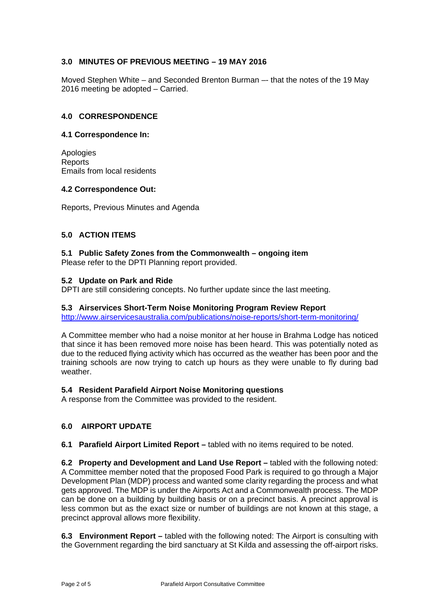## **3.0 MINUTES OF PREVIOUS MEETING – 19 MAY 2016**

Moved Stephen White – and Seconded Brenton Burman –- that the notes of the 19 May 2016 meeting be adopted – Carried.

#### **4.0 CORRESPONDENCE**

#### **4.1 Correspondence In:**

Apologies **Reports** Emails from local residents

#### **4.2 Correspondence Out:**

Reports, Previous Minutes and Agenda

## **5.0 ACTION ITEMS**

# **5.1 Public Safety Zones from the Commonwealth – ongoing item**

Please refer to the DPTI Planning report provided.

## **5.2 Update on Park and Ride**

DPTI are still considering concepts. No further update since the last meeting.

#### **5.3 Airservices Short-Term Noise Monitoring Program Review Report**

http://www.airservicesaustralia.com/publications/noise-reports/short-term-monitoring/

A Committee member who had a noise monitor at her house in Brahma Lodge has noticed that since it has been removed more noise has been heard. This was potentially noted as due to the reduced flying activity which has occurred as the weather has been poor and the training schools are now trying to catch up hours as they were unable to fly during bad weather.

## **5.4 Resident Parafield Airport Noise Monitoring questions**

A response from the Committee was provided to the resident.

## **6.0 AIRPORT UPDATE**

## **6.1 Parafield Airport Limited Report –** tabled with no items required to be noted.

**6.2 Property and Development and Land Use Report –** tabled with the following noted: A Committee member noted that the proposed Food Park is required to go through a Major Development Plan (MDP) process and wanted some clarity regarding the process and what gets approved. The MDP is under the Airports Act and a Commonwealth process. The MDP can be done on a building by building basis or on a precinct basis. A precinct approval is less common but as the exact size or number of buildings are not known at this stage, a precinct approval allows more flexibility.

**6.3 Environment Report –** tabled with the following noted: The Airport is consulting with the Government regarding the bird sanctuary at St Kilda and assessing the off-airport risks.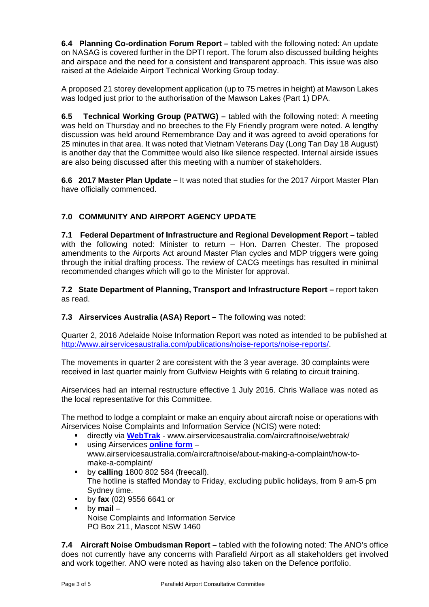**6.4 Planning Co-ordination Forum Report –** tabled with the following noted: An update on NASAG is covered further in the DPTI report. The forum also discussed building heights and airspace and the need for a consistent and transparent approach. This issue was also raised at the Adelaide Airport Technical Working Group today.

A proposed 21 storey development application (up to 75 metres in height) at Mawson Lakes was lodged just prior to the authorisation of the Mawson Lakes (Part 1) DPA.

**6.5 Technical Working Group (PATWG) –** tabled with the following noted: A meeting was held on Thursday and no breeches to the Fly Friendly program were noted. A lengthy discussion was held around Remembrance Day and it was agreed to avoid operations for 25 minutes in that area. It was noted that Vietnam Veterans Day (Long Tan Day 18 August) is another day that the Committee would also like silence respected. Internal airside issues are also being discussed after this meeting with a number of stakeholders.

**6.6 2017 Master Plan Update –** It was noted that studies for the 2017 Airport Master Plan have officially commenced.

# **7.0 COMMUNITY AND AIRPORT AGENCY UPDATE**

**7.1 Federal Department of Infrastructure and Regional Development Report –** tabled with the following noted: Minister to return – Hon. Darren Chester. The proposed amendments to the Airports Act around Master Plan cycles and MDP triggers were going through the initial drafting process. The review of CACG meetings has resulted in minimal recommended changes which will go to the Minister for approval.

**7.2 State Department of Planning, Transport and Infrastructure Report –** report taken as read.

## **7.3 Airservices Australia (ASA) Report – The following was noted:**

Quarter 2, 2016 Adelaide Noise Information Report was noted as intended to be published at http://www.airservicesaustralia.com/publications/noise-reports/noise-reports/.

The movements in quarter 2 are consistent with the 3 year average. 30 complaints were received in last quarter mainly from Gulfview Heights with 6 relating to circuit training.

Airservices had an internal restructure effective 1 July 2016. Chris Wallace was noted as the local representative for this Committee.

The method to lodge a complaint or make an enquiry about aircraft noise or operations with Airservices Noise Complaints and Information Service (NCIS) were noted:

- directly via **WebTrak** www.airservicesaustralia.com/aircraftnoise/webtrak/
- using Airservices **online form** www.airservicesaustralia.com/aircraftnoise/about-making-a-complaint/how-tomake-a-complaint/
- **by calling** 1800 802 584 (freecall). The hotline is staffed Monday to Friday, excluding public holidays, from 9 am-5 pm Sydney time.
- by **fax** (02) 9556 6641 or
- by **mail** Noise Complaints and Information Service PO Box 211, Mascot NSW 1460

**7.4 Aircraft Noise Ombudsman Report –** tabled with the following noted: The ANO's office does not currently have any concerns with Parafield Airport as all stakeholders get involved and work together. ANO were noted as having also taken on the Defence portfolio.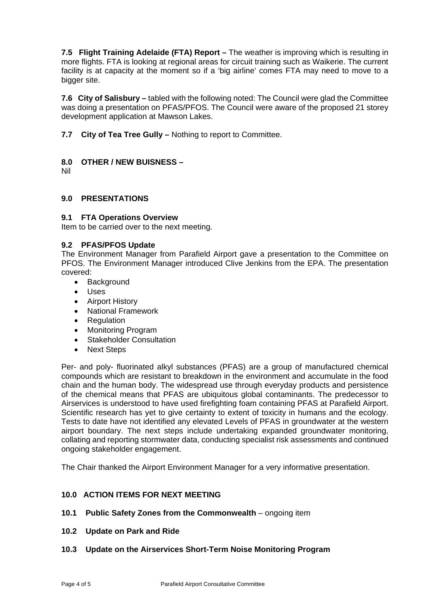**7.5 Flight Training Adelaide (FTA) Report –** The weather is improving which is resulting in more flights. FTA is looking at regional areas for circuit training such as Waikerie. The current facility is at capacity at the moment so if a 'big airline' comes FTA may need to move to a bigger site.

**7.6 City of Salisbury –** tabled with the following noted: The Council were glad the Committee was doing a presentation on PFAS/PFOS. The Council were aware of the proposed 21 storey development application at Mawson Lakes.

**7.7 City of Tea Tree Gully –** Nothing to report to Committee.

## **8.0 OTHER / NEW BUISNESS –**

Nil

## **9.0 PRESENTATIONS**

## **9.1 FTA Operations Overview**

Item to be carried over to the next meeting.

#### **9.2 PFAS/PFOS Update**

The Environment Manager from Parafield Airport gave a presentation to the Committee on PFOS. The Environment Manager introduced Clive Jenkins from the EPA. The presentation covered:

- Background
- Uses
- **•** Airport History
- National Framework
- Regulation
- Monitoring Program
- Stakeholder Consultation
- Next Steps

Per- and poly- fluorinated alkyl substances (PFAS) are a group of manufactured chemical compounds which are resistant to breakdown in the environment and accumulate in the food chain and the human body. The widespread use through everyday products and persistence of the chemical means that PFAS are ubiquitous global contaminants. The predecessor to Airservices is understood to have used firefighting foam containing PFAS at Parafield Airport. Scientific research has yet to give certainty to extent of toxicity in humans and the ecology. Tests to date have not identified any elevated Levels of PFAS in groundwater at the western airport boundary. The next steps include undertaking expanded groundwater monitoring, collating and reporting stormwater data, conducting specialist risk assessments and continued ongoing stakeholder engagement.

The Chair thanked the Airport Environment Manager for a very informative presentation.

## **10.0 ACTION ITEMS FOR NEXT MEETING**

- **10.1 Public Safety Zones from the Commonwealth** ongoing item
- **10.2 Update on Park and Ride**
- **10.3 Update on the Airservices Short-Term Noise Monitoring Program**